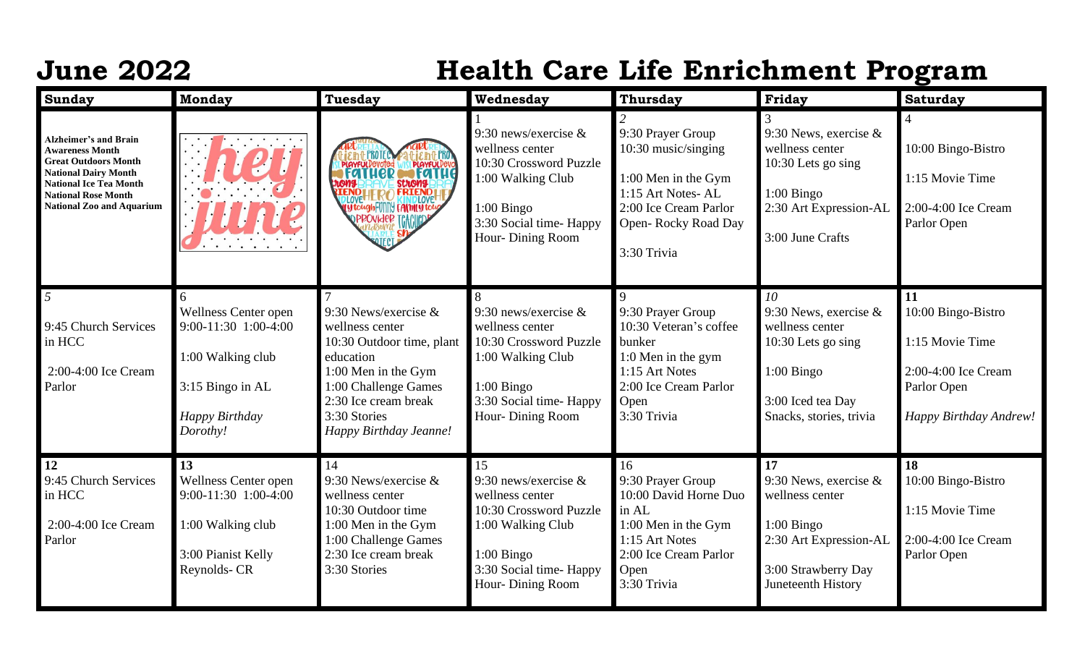## **June 2022 Health Care Life Enrichment Program**

| <b>Sunday</b>                                                                                                                                                                                                           | <b>Monday</b>                                                                                                            | <b>Tuesday</b>                                                                                                                                                                                       | Wednesday                                                                                                                                                     | <b>Thursday</b>                                                                                                                                     | Friday                                                                                                                                   | <b>Saturday</b>                                                                                             |
|-------------------------------------------------------------------------------------------------------------------------------------------------------------------------------------------------------------------------|--------------------------------------------------------------------------------------------------------------------------|------------------------------------------------------------------------------------------------------------------------------------------------------------------------------------------------------|---------------------------------------------------------------------------------------------------------------------------------------------------------------|-----------------------------------------------------------------------------------------------------------------------------------------------------|------------------------------------------------------------------------------------------------------------------------------------------|-------------------------------------------------------------------------------------------------------------|
| <b>Alzheimer's and Brain</b><br><b>Awareness Month</b><br><b>Great Outdoors Month</b><br><b>National Dairy Month</b><br><b>National Ice Tea Month</b><br><b>National Rose Month</b><br><b>National Zoo and Aquarium</b> |                                                                                                                          | <b>PLAYFULDevoted WIS PLAYFULDEVO</b><br>END HERO FRIEND<br>TytoughFUIIII CAMPLOYE                                                                                                                   | 9:30 news/exercise $\&$<br>wellness center<br>10:30 Crossword Puzzle<br>1:00 Walking Club<br>$1:00$ Bingo<br>3:30 Social time-Happy<br>Hour-Dining Room       | 9:30 Prayer Group<br>10:30 music/singing<br>1:00 Men in the Gym<br>1:15 Art Notes-AL<br>2:00 Ice Cream Parlor<br>Open-Rocky Road Day<br>3:30 Trivia | 9:30 News, exercise $&$<br>wellness center<br>10:30 Lets go sing<br>$1:00$ Bingo<br>2:30 Art Expression-AL<br>3:00 June Crafts           | 10:00 Bingo-Bistro<br>1:15 Movie Time<br>2:00-4:00 Ice Cream<br>Parlor Open                                 |
| $5\overline{)}$<br>9:45 Church Services<br>in HCC<br>2:00-4:00 Ice Cream<br>Parlor                                                                                                                                      | 6<br>Wellness Center open<br>9:00-11:30 1:00-4:00<br>1:00 Walking club<br>3:15 Bingo in AL<br>Happy Birthday<br>Dorothy! | 9:30 News/exercise $&$<br>wellness center<br>10:30 Outdoor time, plant<br>education<br>1:00 Men in the Gym<br>1:00 Challenge Games<br>2:30 Ice cream break<br>3:30 Stories<br>Happy Birthday Jeanne! | 9:30 news/exercise $\&$<br>wellness center<br>10:30 Crossword Puzzle<br>1:00 Walking Club<br>$1:00$ Bingo<br>3:30 Social time-Happy<br>Hour-Dining Room       | 9:30 Prayer Group<br>10:30 Veteran's coffee<br>bunker<br>1:0 Men in the gym<br>1:15 Art Notes<br>2:00 Ice Cream Parlor<br>Open<br>3:30 Trivia       | 10<br>9:30 News, exercise $\&$<br>wellness center<br>10:30 Lets go sing<br>$1:00$ Bingo<br>3:00 Iced tea Day<br>Snacks, stories, trivia  | 11<br>10:00 Bingo-Bistro<br>1:15 Movie Time<br>2:00-4:00 Ice Cream<br>Parlor Open<br>Happy Birthday Andrew! |
| <b>12</b><br>9:45 Church Services<br>in HCC<br>2:00-4:00 Ice Cream<br>Parlor                                                                                                                                            | 13<br><b>Wellness Center open</b><br>9:00-11:30 1:00-4:00<br>1:00 Walking club<br>3:00 Pianist Kelly<br>Reynolds- CR     | 14<br>9:30 News/exercise $&$<br>wellness center<br>10:30 Outdoor time<br>1:00 Men in the Gym<br>1:00 Challenge Games<br>2:30 Ice cream break<br>3:30 Stories                                         | 15<br>9:30 news/exercise $\&$<br>wellness center<br>10:30 Crossword Puzzle<br>1:00 Walking Club<br>$1:00$ Bingo<br>3:30 Social time-Happy<br>Hour-Dining Room | 16<br>9:30 Prayer Group<br>10:00 David Horne Duo<br>in AL<br>1:00 Men in the Gym<br>1:15 Art Notes<br>2:00 Ice Cream Parlor<br>Open<br>3:30 Trivia  | 17<br>9:30 News, exercise $\&$<br>wellness center<br>$1:00$ Bingo<br>2:30 Art Expression-AL<br>3:00 Strawberry Day<br>Juneteenth History | 18<br>10:00 Bingo-Bistro<br>1:15 Movie Time<br>2:00-4:00 Ice Cream<br>Parlor Open                           |